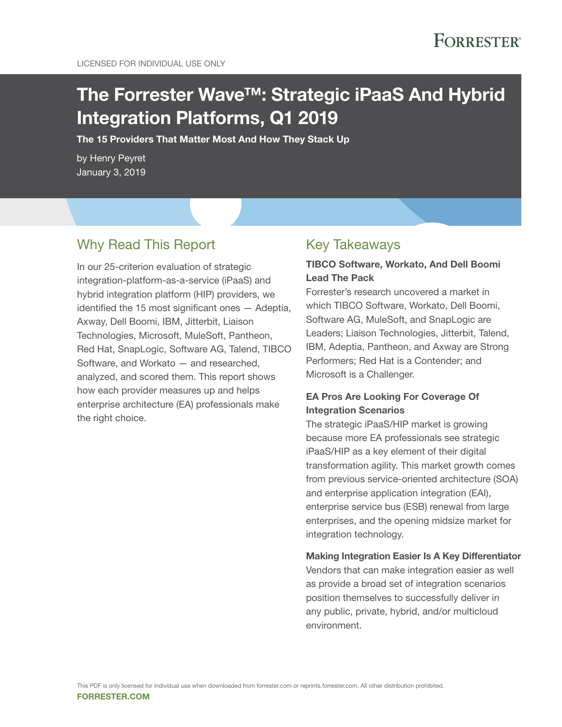# The Forrester Wave™: Strategic iPaaS And Hybrid Integration Platforms, Q1 2019

The 15 Providers That Matter Most And How They Stack Up

by Henry Peyret January 3, 2019

## Why Read This Report

In our 25-criterion evaluation of strategic integration-platform-as-a-service (iPaaS) and hybrid integration platform (HIP) providers, we identified the 15 most significant ones — Adeptia, Axway, Dell Boomi, IBM, Jitterbit, Liaison Technologies, Microsoft, MuleSoft, Pantheon, Red Hat, SnapLogic, Software AG, Talend, TIBCO Software, and Workato — and researched, analyzed, and scored them. This report shows how each provider measures up and helps enterprise architecture (EA) professionals make the right choice.

## Key Takeaways

## TIBCO Software, Workato, And Dell Boomi Lead The Pack

Forrester's research uncovered a market in which TIBCO Software, Workato, Dell Boomi, Software AG, MuleSoft, and SnapLogic are Leaders; Liaison Technologies, Jitterbit, Talend, IBM, Adeptia, Pantheon, and Axway are Strong Performers; Red Hat is a Contender; and Microsoft is a Challenger.

## EA Pros Are Looking For Coverage Of Integration Scenarios

The strategic iPaaS/HIP market is growing because more EA professionals see strategic iPaaS/HIP as a key element of their digital transformation agility. This market growth comes from previous service-oriented architecture (SOA) and enterprise application integration (EAI), enterprise service bus (ESB) renewal from large enterprises, and the opening midsize market for integration technology.

### Making Integration Easier Is A Key Differentiator

Vendors that can make integration easier as well as provide a broad set of integration scenarios position themselves to successfully deliver in any public, private, hybrid, and/or multicloud environment.

forrester.com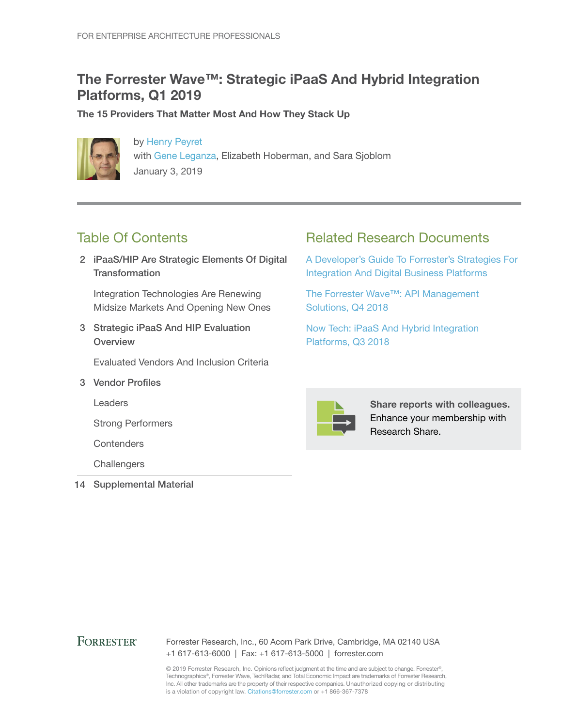## The Forrester Wave™: Strategic iPaaS And Hybrid Integration Platforms, Q1 2019

The 15 Providers That Matter Most And How They Stack Up



by [Henry Peyret](http://www.forrester.com/go?objectid=BIO821) with [Gene Leganza,](http://www.forrester.com/go?objectid=BIO794) Elizabeth Hoberman, and Sara Sjoblom January 3, 2019

## Table Of Contents

2 iPaaS/HIP Are Strategic Elements Of Digital **Transformation** 

Integration Technologies Are Renewing Midsize Markets And Opening New Ones

3 Strategic iPaaS And HIP Evaluation **Overview** 

Evaluated Vendors And Inclusion Criteria

3 Vendor Profiles

Leaders

Strong Performers

**Contenders** 

**Challengers** 

14 Supplemental Material

## Related Research Documents

A [Developer's Guide To Forrester's Strategies For](http://www.forrester.com/go?objectid=RES137952)  [Integration And Digital Business Platforms](http://www.forrester.com/go?objectid=RES137952)

[The Forrester Wave™: API Management](http://www.forrester.com/go?objectid=RES141540)  [Solutions, Q4 2018](http://www.forrester.com/go?objectid=RES141540)

Now Tech: iPaaS [And Hybrid Integration](http://www.forrester.com/go?objectid=RES141622)  [Platforms, Q3 2018](http://www.forrester.com/go?objectid=RES141622)



Share reports with colleagues. Enhance your membership with Research Share.

## **FORRESTER®**

Forrester Research, Inc., 60 Acorn Park Drive, Cambridge, MA 02140 USA +1 617-613-6000 | Fax: +1 617-613-5000 | forrester.com

© 2019 Forrester Research, Inc. Opinions reflect judgment at the time and are subject to change. Forrester®, Technographics®, Forrester Wave, TechRadar, and Total Economic Impact are trademarks of Forrester Research, Inc. All other trademarks are the property of their respective companies. Unauthorized copying or distributing is a violation of copyright law. Citations@forrester.com or +1 866-367-7378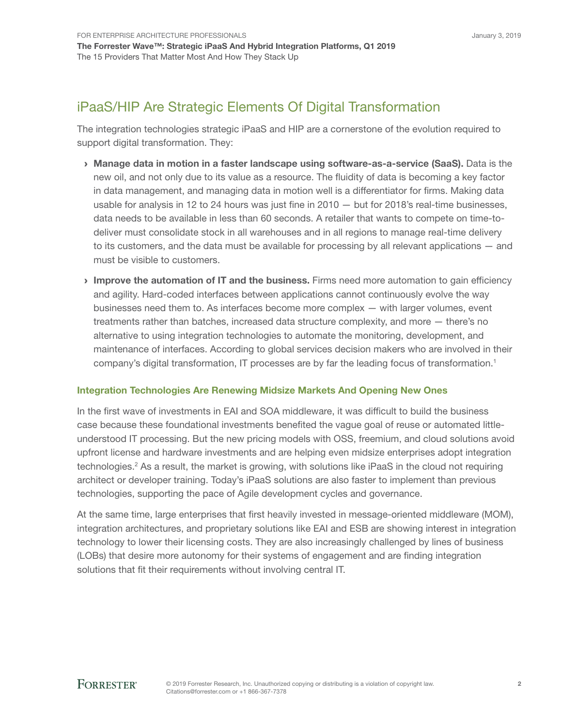## iPaaS/HIP Are Strategic Elements Of Digital Transformation

The integration technologies strategic iPaaS and HIP are a cornerstone of the evolution required to support digital transformation. They:

- › Manage data in motion in a faster landscape using software-as-a-service (SaaS). Data is the new oil, and not only due to its value as a resource. The fluidity of data is becoming a key factor in data management, and managing data in motion well is a differentiator for firms. Making data usable for analysis in 12 to 24 hours was just fine in 2010 — but for 2018's real-time businesses, data needs to be available in less than 60 seconds. A retailer that wants to compete on time-todeliver must consolidate stock in all warehouses and in all regions to manage real-time delivery to its customers, and the data must be available for processing by all relevant applications — and must be visible to customers.
- Improve the automation of IT and the business. Firms need more automation to gain efficiency and agility. Hard-coded interfaces between applications cannot continuously evolve the way businesses need them to. As interfaces become more complex — with larger volumes, event treatments rather than batches, increased data structure complexity, and more — there's no alternative to using integration technologies to automate the monitoring, development, and maintenance of interfaces. According to global services decision makers who are involved in their company's digital transformation, IT processes are by far the leading focus of transformation.<sup>1</sup>

### Integration Technologies Are Renewing Midsize Markets And Opening New Ones

In the first wave of investments in EAI and SOA middleware, it was difficult to build the business case because these foundational investments benefited the vague goal of reuse or automated littleunderstood IT processing. But the new pricing models with OSS, freemium, and cloud solutions avoid upfront license and hardware investments and are helping even midsize enterprises adopt integration technologies.<sup>2</sup> As a result, the market is growing, with solutions like iPaaS in the cloud not requiring architect or developer training. Today's iPaaS solutions are also faster to implement than previous technologies, supporting the pace of Agile development cycles and governance.

At the same time, large enterprises that first heavily invested in message-oriented middleware (MOM), integration architectures, and proprietary solutions like EAI and ESB are showing interest in integration technology to lower their licensing costs. They are also increasingly challenged by lines of business (LOBs) that desire more autonomy for their systems of engagement and are finding integration solutions that fit their requirements without involving central IT.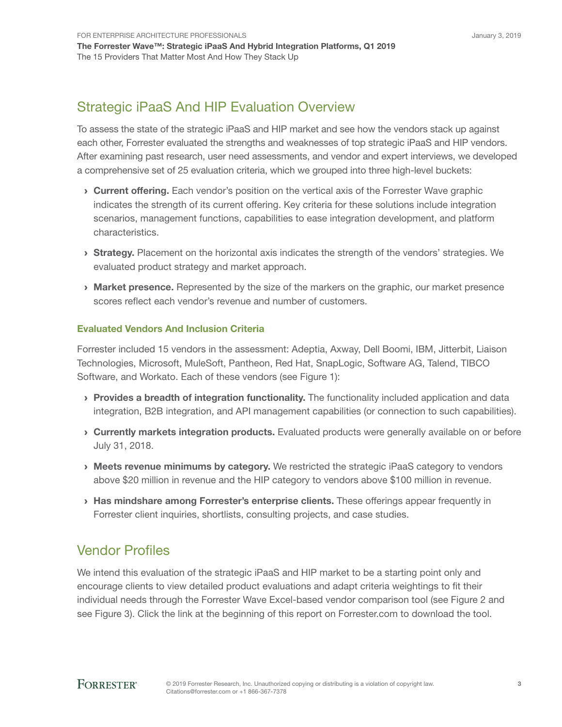## Strategic iPaaS And HIP Evaluation Overview

To assess the state of the strategic iPaaS and HIP market and see how the vendors stack up against each other, Forrester evaluated the strengths and weaknesses of top strategic iPaaS and HIP vendors. After examining past research, user need assessments, and vendor and expert interviews, we developed a comprehensive set of 25 evaluation criteria, which we grouped into three high-level buckets:

- **Current offering.** Each vendor's position on the vertical axis of the Forrester Wave graphic indicates the strength of its current offering. Key criteria for these solutions include integration scenarios, management functions, capabilities to ease integration development, and platform characteristics.
- **Strategy.** Placement on the horizontal axis indicates the strength of the vendors' strategies. We evaluated product strategy and market approach.
- **Market presence.** Represented by the size of the markers on the graphic, our market presence scores reflect each vendor's revenue and number of customers.

### Evaluated Vendors And Inclusion Criteria

Forrester included 15 vendors in the assessment: Adeptia, Axway, Dell Boomi, IBM, Jitterbit, Liaison Technologies, Microsoft, MuleSoft, Pantheon, Red Hat, SnapLogic, Software AG, Talend, TIBCO Software, and Workato. Each of these vendors (see Figure 1):

- › Provides a breadth of integration functionality. The functionality included application and data integration, B2B integration, and API management capabilities (or connection to such capabilities).
- › Currently markets integration products. Evaluated products were generally available on or before July 31, 2018.
- › Meets revenue minimums by category. We restricted the strategic iPaaS category to vendors above \$20 million in revenue and the HIP category to vendors above \$100 million in revenue.
- › Has mindshare among Forrester's enterprise clients. These offerings appear frequently in Forrester client inquiries, shortlists, consulting projects, and case studies.

## Vendor Profiles

We intend this evaluation of the strategic iPaaS and HIP market to be a starting point only and encourage clients to view detailed product evaluations and adapt criteria weightings to fit their individual needs through the Forrester Wave Excel-based vendor comparison tool (see Figure 2 and see Figure 3). Click the link at the beginning of this report on Forrester.com to download the tool.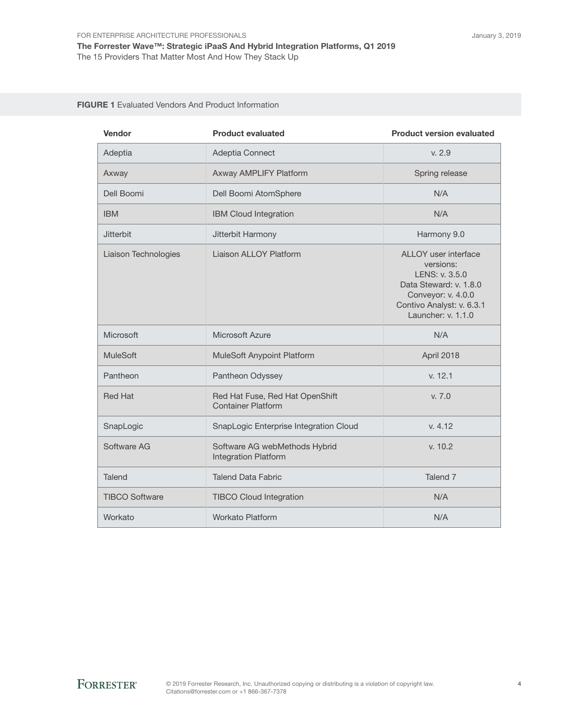#### FIGURE 1 Evaluated Vendors And Product Information

| Vendor                | <b>Product evaluated</b>                                     | <b>Product version evaluated</b>                                                                                                                       |
|-----------------------|--------------------------------------------------------------|--------------------------------------------------------------------------------------------------------------------------------------------------------|
| Adeptia               | Adeptia Connect                                              | v. 2.9                                                                                                                                                 |
| Axway                 | Axway AMPLIFY Platform                                       | Spring release                                                                                                                                         |
| Dell Boomi            | Dell Boomi AtomSphere                                        | N/A                                                                                                                                                    |
| <b>IBM</b>            | <b>IBM Cloud Integration</b>                                 | N/A                                                                                                                                                    |
| <b>Jitterbit</b>      | Jitterbit Harmony                                            | Harmony 9.0                                                                                                                                            |
| Liaison Technologies  | Liaison ALLOY Platform                                       | ALLOY user interface<br>versions:<br>LENS: v. 3.5.0<br>Data Steward: v. 1.8.0<br>Conveyor: v. 4.0.0<br>Contivo Analyst: v. 6.3.1<br>Launcher: v. 1.1.0 |
| Microsoft             | Microsoft Azure                                              | N/A                                                                                                                                                    |
| <b>MuleSoft</b>       | <b>MuleSoft Anypoint Platform</b>                            | April 2018                                                                                                                                             |
| Pantheon              | Pantheon Odyssey                                             | v. 12.1                                                                                                                                                |
| <b>Red Hat</b>        | Red Hat Fuse, Red Hat OpenShift<br><b>Container Platform</b> | V. 7.0                                                                                                                                                 |
| SnapLogic             | SnapLogic Enterprise Integration Cloud                       | v. 4.12                                                                                                                                                |
| Software AG           | Software AG webMethods Hybrid<br><b>Integration Platform</b> | v. 10.2                                                                                                                                                |
| Talend                | <b>Talend Data Fabric</b>                                    | Talend <sub>7</sub>                                                                                                                                    |
| <b>TIBCO Software</b> | <b>TIBCO Cloud Integration</b>                               | N/A                                                                                                                                                    |
| Workato               | <b>Workato Platform</b>                                      | N/A                                                                                                                                                    |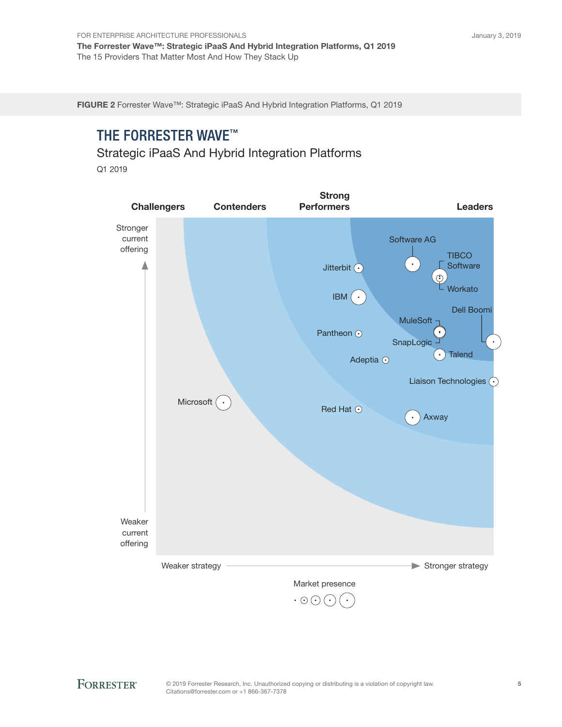FIGURE 2 Forrester Wave™: Strategic iPaaS And Hybrid Integration Platforms, Q1 2019

## **THE FORRESTER WAVE™**

Strategic iPaaS And Hybrid Integration Platforms

Q1 2019

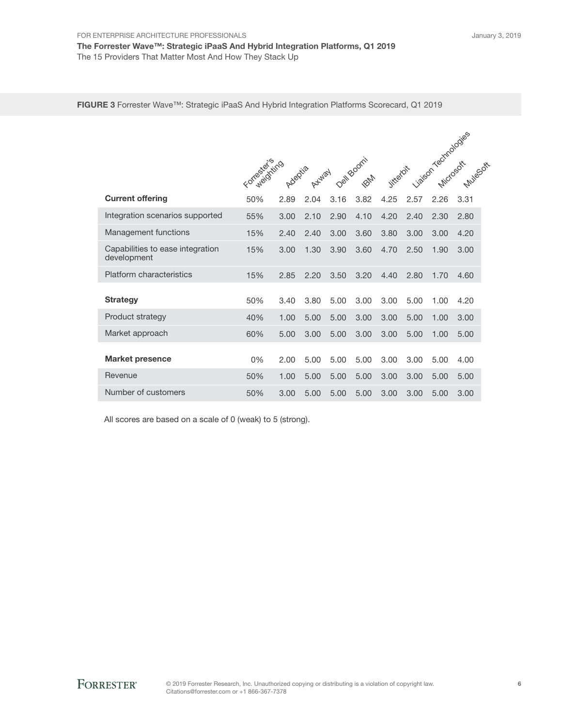FIGURE 3 Forrester Wave™: Strategic iPaaS And Hybrid Integration Platforms Scorecard, Q1 2019

|                                                 | Fortasianing |      | Ayvay |      | nell Boomi |      |      |      | sison rectardoogies |  |
|-------------------------------------------------|--------------|------|-------|------|------------|------|------|------|---------------------|--|
| <b>Current offering</b>                         | 50%          | 2.89 | 2.04  | 3.16 | 3.82       | 4.25 | 2.57 | 2.26 | 3.31                |  |
| Integration scenarios supported                 | 55%          | 3.00 | 2.10  | 2.90 | 4.10       | 4.20 | 2.40 | 2.30 | 2.80                |  |
| Management functions                            | 15%          | 2.40 | 2.40  | 3.00 | 3.60       | 3.80 | 3.00 | 3.00 | 4.20                |  |
| Capabilities to ease integration<br>development | 15%          | 3.00 | 1.30  | 3.90 | 3.60       | 4.70 | 2.50 | 1.90 | 3.00                |  |
| Platform characteristics                        | 15%          | 2.85 | 2.20  | 3.50 | 3.20       | 4.40 | 2.80 | 1.70 | 4.60                |  |
| <b>Strategy</b>                                 | 50%          | 3.40 | 3.80  | 5.00 | 3.00       | 3.00 | 5.00 | 1.00 | 4.20                |  |
| Product strategy                                | 40%          | 1.00 | 5.00  | 5.00 | 3.00       | 3.00 | 5.00 | 1.00 | 3.00                |  |
| Market approach                                 | 60%          | 5.00 | 3.00  | 5.00 | 3.00       | 3.00 | 5.00 | 1.00 | 5.00                |  |
| <b>Market presence</b>                          | 0%           | 2.00 | 5.00  | 5.00 | 5.00       | 3.00 | 3.00 | 5.00 | 4.00                |  |
| Revenue                                         | 50%          | 1.00 | 5.00  | 5.00 | 5.00       | 3.00 | 3.00 | 5.00 | 5.00                |  |
| Number of customers                             | 50%          | 3.00 | 5.00  | 5.00 | 5.00       | 3.00 | 3.00 | 5.00 | 3.00                |  |

All scores are based on a scale of 0 (weak) to 5 (strong).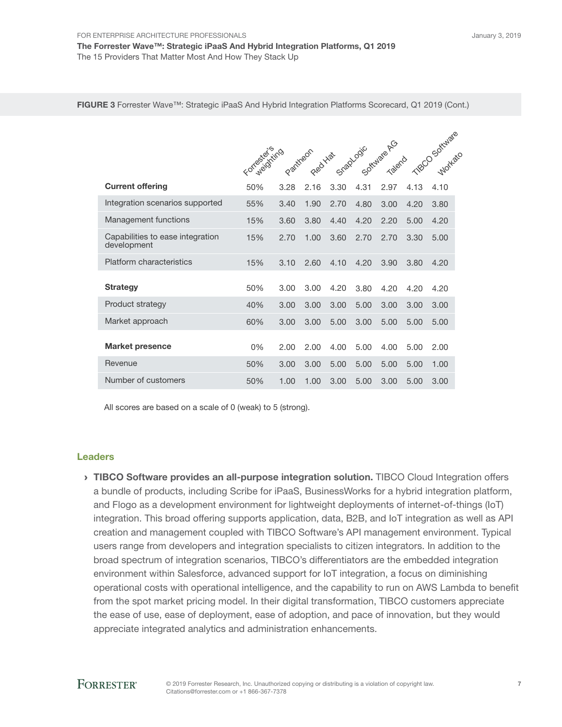The Forrester Wave™: Strategic iPaaS And Hybrid Integration Platforms, Q1 2019 The 15 Providers That Matter Most And How They Stack Up

FIGURE 3 Forrester Wave™: Strategic iPaaS And Hybrid Integration Platforms Scorecard, Q1 2019 (Cont.)

|                                                 |              |      |      |                                          |      |        |      | TROCO Software |
|-------------------------------------------------|--------------|------|------|------------------------------------------|------|--------|------|----------------|
|                                                 | Formaciónimo |      |      | Partiteon Real Hat Stagbook Carculate RG |      | Talend |      |                |
| <b>Current offering</b>                         | 50%          | 3.28 | 2.16 | 3.30                                     | 4.31 | 2.97   | 4.13 | 4.10           |
| Integration scenarios supported                 | 55%          | 3.40 | 1.90 | 2.70                                     | 4.80 | 3.00   | 4.20 | 3.80           |
| Management functions                            | 15%          | 3.60 | 3.80 | 4.40                                     | 4.20 | 2.20   | 5.00 | 4.20           |
| Capabilities to ease integration<br>development | 15%          | 2.70 | 1.00 | 3.60                                     | 2.70 | 2.70   | 3.30 | 5.00           |
| Platform characteristics                        | 15%          | 3.10 | 2.60 | 4.10                                     | 4.20 | 3.90   | 3.80 | 4.20           |
| <b>Strategy</b>                                 | 50%          | 3.00 | 3.00 | 4.20                                     | 3.80 | 4.20   | 4.20 | 4.20           |
| Product strategy                                | 40%          | 3.00 | 3.00 | 3.00                                     | 5.00 | 3.00   | 3.00 | 3.00           |
| Market approach                                 | 60%          | 3.00 | 3.00 | 5.00                                     | 3.00 | 5.00   | 5.00 | 5.00           |
| <b>Market presence</b>                          | $0\%$        | 2.00 | 2.00 | 4.00                                     | 5.00 | 4.00   | 5.00 | 2.00           |
| Revenue                                         | 50%          | 3.00 | 3.00 | 5.00                                     | 5.00 | 5.00   | 5.00 | 1.00           |
| Number of customers                             | 50%          | 1.00 | 1.00 | 3.00                                     | 5.00 | 3.00   | 5.00 | 3.00           |

All scores are based on a scale of 0 (weak) to 5 (strong).

#### Leaders

**IIBCO Software provides an all-purpose integration solution.** TIBCO Cloud Integration offers a bundle of products, including Scribe for iPaaS, BusinessWorks for a hybrid integration platform, and Flogo as a development environment for lightweight deployments of internet-of-things (IoT) integration. This broad offering supports application, data, B2B, and IoT integration as well as API creation and management coupled with TIBCO Software's API management environment. Typical users range from developers and integration specialists to citizen integrators. In addition to the broad spectrum of integration scenarios, TIBCO's differentiators are the embedded integration environment within Salesforce, advanced support for IoT integration, a focus on diminishing operational costs with operational intelligence, and the capability to run on AWS Lambda to benefit from the spot market pricing model. In their digital transformation, TIBCO customers appreciate the ease of use, ease of deployment, ease of adoption, and pace of innovation, but they would appreciate integrated analytics and administration enhancements.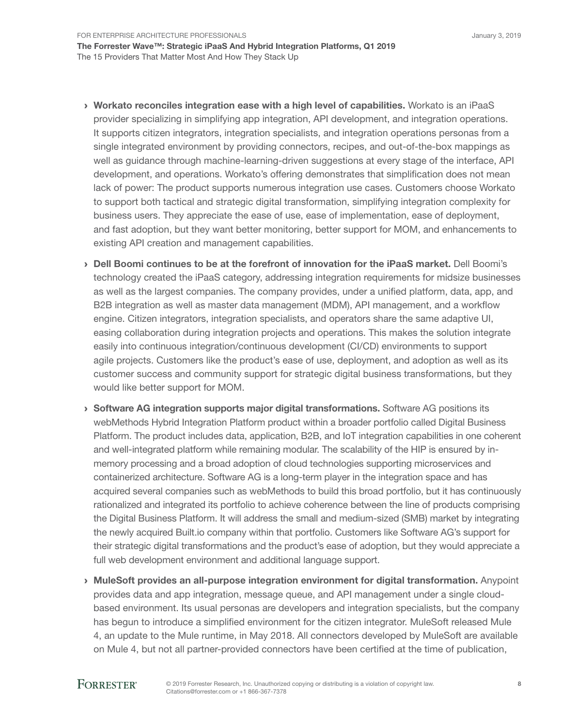For Enterprise Architecture Professionals The Forrester Wave™: Strategic iPaaS And Hybrid Integration Platforms, Q1 2019 The 15 Providers That Matter Most And How They Stack Up

- › Workato reconciles integration ease with a high level of capabilities. Workato is an iPaaS provider specializing in simplifying app integration, API development, and integration operations. It supports citizen integrators, integration specialists, and integration operations personas from a single integrated environment by providing connectors, recipes, and out-of-the-box mappings as well as guidance through machine-learning-driven suggestions at every stage of the interface, API development, and operations. Workato's offering demonstrates that simplification does not mean lack of power: The product supports numerous integration use cases. Customers choose Workato to support both tactical and strategic digital transformation, simplifying integration complexity for business users. They appreciate the ease of use, ease of implementation, ease of deployment, and fast adoption, but they want better monitoring, better support for MOM, and enhancements to existing API creation and management capabilities.
- › Dell Boomi continues to be at the forefront of innovation for the iPaaS market. Dell Boomi's technology created the iPaaS category, addressing integration requirements for midsize businesses as well as the largest companies. The company provides, under a unified platform, data, app, and B2B integration as well as master data management (MDM), API management, and a workflow engine. Citizen integrators, integration specialists, and operators share the same adaptive UI, easing collaboration during integration projects and operations. This makes the solution integrate easily into continuous integration/continuous development (CI/CD) environments to support agile projects. Customers like the product's ease of use, deployment, and adoption as well as its customer success and community support for strategic digital business transformations, but they would like better support for MOM.
- › Software AG integration supports major digital transformations. Software AG positions its webMethods Hybrid Integration Platform product within a broader portfolio called Digital Business Platform. The product includes data, application, B2B, and IoT integration capabilities in one coherent and well-integrated platform while remaining modular. The scalability of the HIP is ensured by inmemory processing and a broad adoption of cloud technologies supporting microservices and containerized architecture. Software AG is a long-term player in the integration space and has acquired several companies such as webMethods to build this broad portfolio, but it has continuously rationalized and integrated its portfolio to achieve coherence between the line of products comprising the Digital Business Platform. It will address the small and medium-sized (SMB) market by integrating the newly acquired Built.io company within that portfolio. Customers like Software AG's support for their strategic digital transformations and the product's ease of adoption, but they would appreciate a full web development environment and additional language support.
- › MuleSoft provides an all-purpose integration environment for digital transformation. Anypoint provides data and app integration, message queue, and API management under a single cloudbased environment. Its usual personas are developers and integration specialists, but the company has begun to introduce a simplified environment for the citizen integrator. MuleSoft released Mule 4, an update to the Mule runtime, in May 2018. All connectors developed by MuleSoft are available on Mule 4, but not all partner-provided connectors have been certified at the time of publication,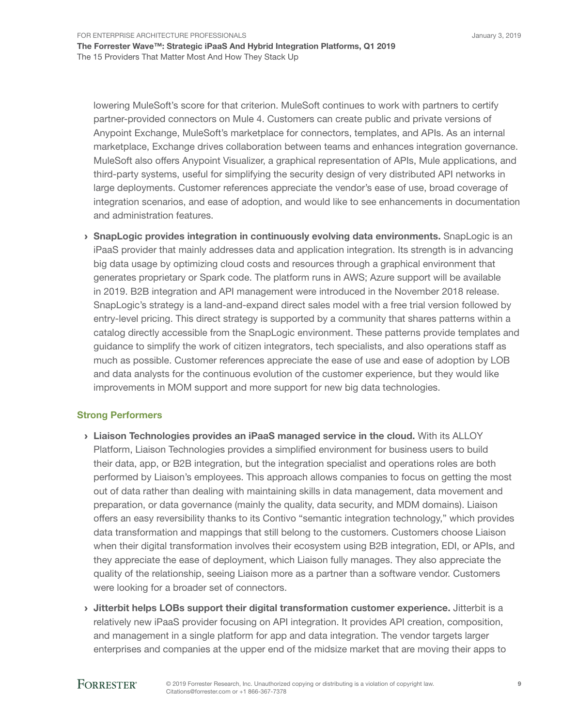For Enterprise Architecture Professionals

The Forrester Wave™: Strategic iPaaS And Hybrid Integration Platforms, Q1 2019 The 15 Providers That Matter Most And How They Stack Up

lowering MuleSoft's score for that criterion. MuleSoft continues to work with partners to certify partner-provided connectors on Mule 4. Customers can create public and private versions of Anypoint Exchange, MuleSoft's marketplace for connectors, templates, and APIs. As an internal marketplace, Exchange drives collaboration between teams and enhances integration governance. MuleSoft also offers Anypoint Visualizer, a graphical representation of APIs, Mule applications, and third-party systems, useful for simplifying the security design of very distributed API networks in large deployments. Customer references appreciate the vendor's ease of use, broad coverage of integration scenarios, and ease of adoption, and would like to see enhancements in documentation and administration features.

**> SnapLogic provides integration in continuously evolving data environments.** SnapLogic is an iPaaS provider that mainly addresses data and application integration. Its strength is in advancing big data usage by optimizing cloud costs and resources through a graphical environment that generates proprietary or Spark code. The platform runs in AWS; Azure support will be available in 2019. B2B integration and API management were introduced in the November 2018 release. SnapLogic's strategy is a land-and-expand direct sales model with a free trial version followed by entry-level pricing. This direct strategy is supported by a community that shares patterns within a catalog directly accessible from the SnapLogic environment. These patterns provide templates and guidance to simplify the work of citizen integrators, tech specialists, and also operations staff as much as possible. Customer references appreciate the ease of use and ease of adoption by LOB and data analysts for the continuous evolution of the customer experience, but they would like improvements in MOM support and more support for new big data technologies.

### Strong Performers

- › Liaison Technologies provides an iPaaS managed service in the cloud. With its ALLOY Platform, Liaison Technologies provides a simplified environment for business users to build their data, app, or B2B integration, but the integration specialist and operations roles are both performed by Liaison's employees. This approach allows companies to focus on getting the most out of data rather than dealing with maintaining skills in data management, data movement and preparation, or data governance (mainly the quality, data security, and MDM domains). Liaison offers an easy reversibility thanks to its Contivo "semantic integration technology," which provides data transformation and mappings that still belong to the customers. Customers choose Liaison when their digital transformation involves their ecosystem using B2B integration, EDI, or APIs, and they appreciate the ease of deployment, which Liaison fully manages. They also appreciate the quality of the relationship, seeing Liaison more as a partner than a software vendor. Customers were looking for a broader set of connectors.
- $\rightarrow$  Jitterbit helps LOBs support their digital transformation customer experience. Jitterbit is a relatively new iPaaS provider focusing on API integration. It provides API creation, composition, and management in a single platform for app and data integration. The vendor targets larger enterprises and companies at the upper end of the midsize market that are moving their apps to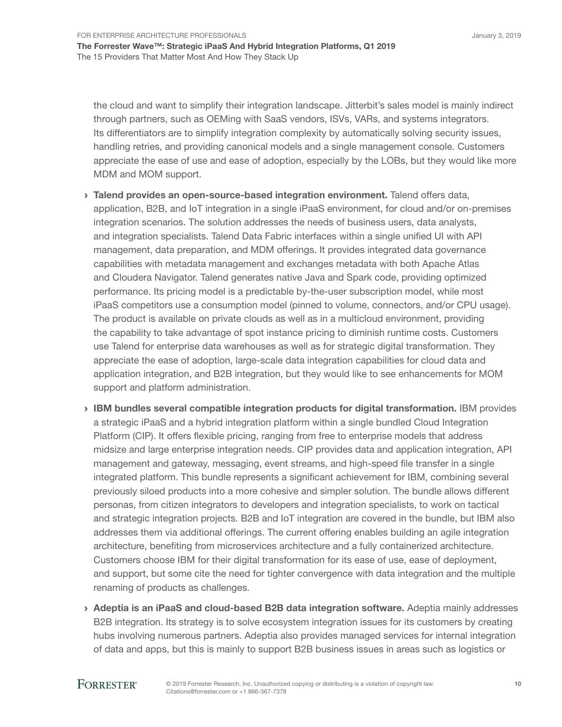For Enterprise Architecture Professionals The Forrester Wave™: Strategic iPaaS And Hybrid Integration Platforms, Q1 2019 The 15 Providers That Matter Most And How They Stack Up

the cloud and want to simplify their integration landscape. Jitterbit's sales model is mainly indirect through partners, such as OEMing with SaaS vendors, ISVs, VARs, and systems integrators. Its differentiators are to simplify integration complexity by automatically solving security issues, handling retries, and providing canonical models and a single management console. Customers appreciate the ease of use and ease of adoption, especially by the LOBs, but they would like more MDM and MOM support.

- › Talend provides an open-source-based integration environment. Talend offers data, application, B2B, and IoT integration in a single iPaaS environment, for cloud and/or on-premises integration scenarios. The solution addresses the needs of business users, data analysts, and integration specialists. Talend Data Fabric interfaces within a single unified UI with API management, data preparation, and MDM offerings. It provides integrated data governance capabilities with metadata management and exchanges metadata with both Apache Atlas and Cloudera Navigator. Talend generates native Java and Spark code, providing optimized performance. Its pricing model is a predictable by-the-user subscription model, while most iPaaS competitors use a consumption model (pinned to volume, connectors, and/or CPU usage). The product is available on private clouds as well as in a multicloud environment, providing the capability to take advantage of spot instance pricing to diminish runtime costs. Customers use Talend for enterprise data warehouses as well as for strategic digital transformation. They appreciate the ease of adoption, large-scale data integration capabilities for cloud data and application integration, and B2B integration, but they would like to see enhancements for MOM support and platform administration.
- › IBM bundles several compatible integration products for digital transformation. IBM provides a strategic iPaaS and a hybrid integration platform within a single bundled Cloud Integration Platform (CIP). It offers flexible pricing, ranging from free to enterprise models that address midsize and large enterprise integration needs. CIP provides data and application integration, API management and gateway, messaging, event streams, and high-speed file transfer in a single integrated platform. This bundle represents a significant achievement for IBM, combining several previously siloed products into a more cohesive and simpler solution. The bundle allows different personas, from citizen integrators to developers and integration specialists, to work on tactical and strategic integration projects. B2B and IoT integration are covered in the bundle, but IBM also addresses them via additional offerings. The current offering enables building an agile integration architecture, benefiting from microservices architecture and a fully containerized architecture. Customers choose IBM for their digital transformation for its ease of use, ease of deployment, and support, but some cite the need for tighter convergence with data integration and the multiple renaming of products as challenges.
- › Adeptia is an iPaaS and cloud-based B2B data integration software. Adeptia mainly addresses B2B integration. Its strategy is to solve ecosystem integration issues for its customers by creating hubs involving numerous partners. Adeptia also provides managed services for internal integration of data and apps, but this is mainly to support B2B business issues in areas such as logistics or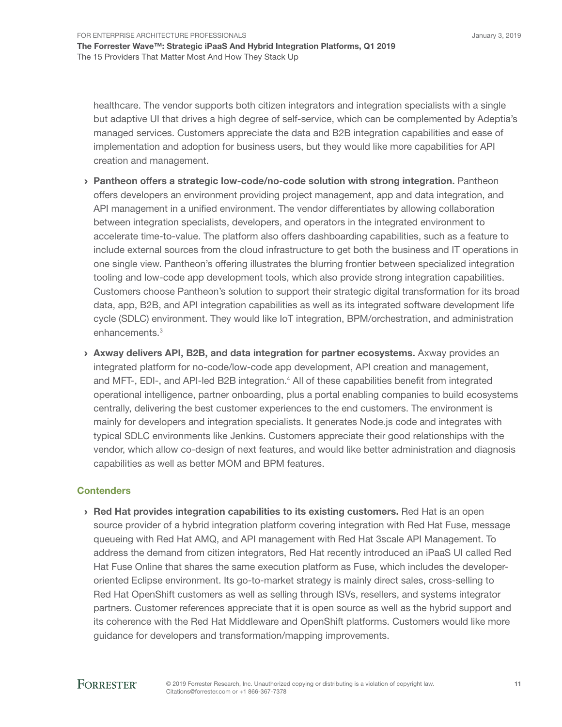healthcare. The vendor supports both citizen integrators and integration specialists with a single but adaptive UI that drives a high degree of self-service, which can be complemented by Adeptia's managed services. Customers appreciate the data and B2B integration capabilities and ease of implementation and adoption for business users, but they would like more capabilities for API creation and management.

- › Pantheon offers a strategic low-code/no-code solution with strong integration. Pantheon offers developers an environment providing project management, app and data integration, and API management in a unified environment. The vendor differentiates by allowing collaboration between integration specialists, developers, and operators in the integrated environment to accelerate time-to-value. The platform also offers dashboarding capabilities, such as a feature to include external sources from the cloud infrastructure to get both the business and IT operations in one single view. Pantheon's offering illustrates the blurring frontier between specialized integration tooling and low-code app development tools, which also provide strong integration capabilities. Customers choose Pantheon's solution to support their strategic digital transformation for its broad data, app, B2B, and API integration capabilities as well as its integrated software development life cycle (SDLC) environment. They would like IoT integration, BPM/orchestration, and administration enhancements.<sup>3</sup>
- › Axway delivers API, B2B, and data integration for partner ecosystems. Axway provides an integrated platform for no-code/low-code app development, API creation and management, and MFT-, EDI-, and API-led B2B integration.<sup>4</sup> All of these capabilities benefit from integrated operational intelligence, partner onboarding, plus a portal enabling companies to build ecosystems centrally, delivering the best customer experiences to the end customers. The environment is mainly for developers and integration specialists. It generates Node.js code and integrates with typical SDLC environments like Jenkins. Customers appreciate their good relationships with the vendor, which allow co-design of next features, and would like better administration and diagnosis capabilities as well as better MOM and BPM features.

### **Contenders**

› Red Hat provides integration capabilities to its existing customers. Red Hat is an open source provider of a hybrid integration platform covering integration with Red Hat Fuse, message queueing with Red Hat AMQ, and API management with Red Hat 3scale API Management. To address the demand from citizen integrators, Red Hat recently introduced an iPaaS UI called Red Hat Fuse Online that shares the same execution platform as Fuse, which includes the developeroriented Eclipse environment. Its go-to-market strategy is mainly direct sales, cross-selling to Red Hat OpenShift customers as well as selling through ISVs, resellers, and systems integrator partners. Customer references appreciate that it is open source as well as the hybrid support and its coherence with the Red Hat Middleware and OpenShift platforms. Customers would like more guidance for developers and transformation/mapping improvements.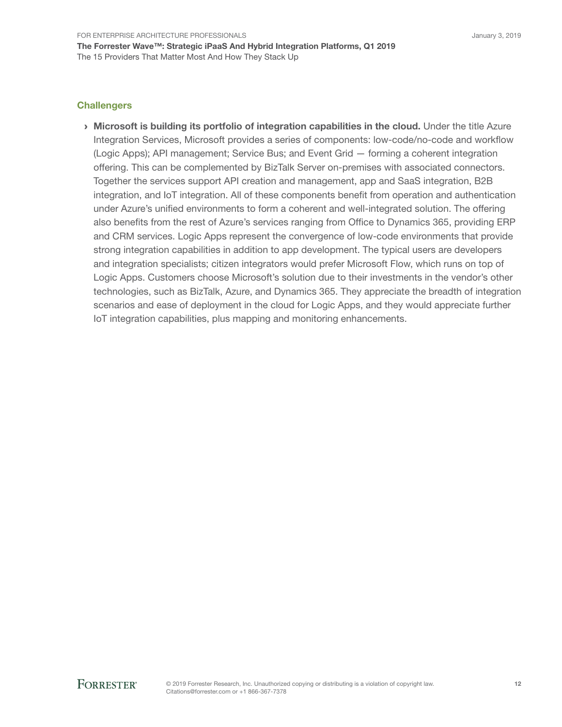### **Challengers**

› Microsoft is building its portfolio of integration capabilities in the cloud. Under the title Azure Integration Services, Microsoft provides a series of components: low-code/no-code and workflow (Logic Apps); API management; Service Bus; and Event Grid — forming a coherent integration offering. This can be complemented by BizTalk Server on-premises with associated connectors. Together the services support API creation and management, app and SaaS integration, B2B integration, and IoT integration. All of these components benefit from operation and authentication under Azure's unified environments to form a coherent and well-integrated solution. The offering also benefits from the rest of Azure's services ranging from Office to Dynamics 365, providing ERP and CRM services. Logic Apps represent the convergence of low-code environments that provide strong integration capabilities in addition to app development. The typical users are developers and integration specialists; citizen integrators would prefer Microsoft Flow, which runs on top of Logic Apps. Customers choose Microsoft's solution due to their investments in the vendor's other technologies, such as BizTalk, Azure, and Dynamics 365. They appreciate the breadth of integration scenarios and ease of deployment in the cloud for Logic Apps, and they would appreciate further IoT integration capabilities, plus mapping and monitoring enhancements.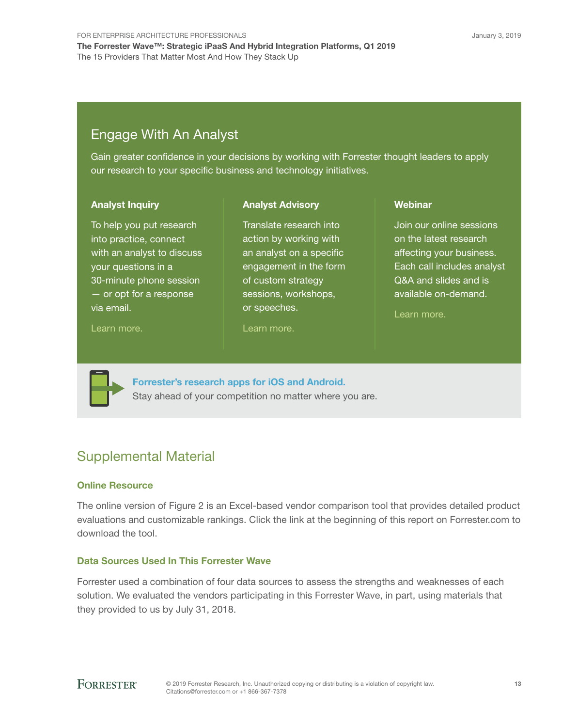## Engage With An Analyst

Gain greater confidence in your decisions by working with Forrester thought leaders to apply our research to your specific business and technology initiatives.

> Translate research into action by working with an analyst on a specific engagement in the form of custom strategy sessions, workshops,

Analyst Advisory

#### Analyst Inquiry

To help you put research into practice, connect with an analyst to discuss your questions in a 30-minute phone session — or opt for a response via email.

#### [Learn more.](http://forr.com/1einFan)

[Learn more.](http://www.forrester.com/Analyst-Advisory/-/E-MPL172)

or speeches.

#### **Webinar**

Join our online sessions on the latest research affecting your business. Each call includes analyst Q&A and slides and is available on-demand.

[Learn more](https://www.forrester.com/events?N=10006+5025).



[Forrester's research apps for iOS and Android.](http://www.forrester.com/app) Stay ahead of your competition no matter where you are.

## Supplemental Material

### Online Resource

The online version of Figure 2 is an Excel-based vendor comparison tool that provides detailed product evaluations and customizable rankings. Click the link at the beginning of this report on Forrester.com to download the tool.

### Data Sources Used In This Forrester Wave

Forrester used a combination of four data sources to assess the strengths and weaknesses of each solution. We evaluated the vendors participating in this Forrester Wave, in part, using materials that they provided to us by July 31, 2018.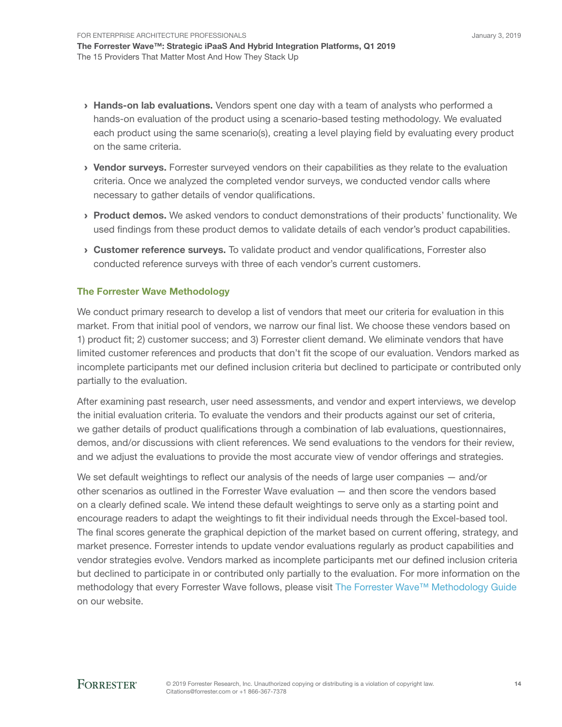- > Hands-on lab evaluations. Vendors spent one day with a team of analysts who performed a hands-on evaluation of the product using a scenario-based testing methodology. We evaluated each product using the same scenario(s), creating a level playing field by evaluating every product on the same criteria.
- › Vendor surveys. Forrester surveyed vendors on their capabilities as they relate to the evaluation criteria. Once we analyzed the completed vendor surveys, we conducted vendor calls where necessary to gather details of vendor qualifications.
- › Product demos. We asked vendors to conduct demonstrations of their products' functionality. We used findings from these product demos to validate details of each vendor's product capabilities.
- › Customer reference surveys. To validate product and vendor qualifications, Forrester also conducted reference surveys with three of each vendor's current customers.

### The Forrester Wave Methodology

We conduct primary research to develop a list of vendors that meet our criteria for evaluation in this market. From that initial pool of vendors, we narrow our final list. We choose these vendors based on 1) product fit; 2) customer success; and 3) Forrester client demand. We eliminate vendors that have limited customer references and products that don't fit the scope of our evaluation. Vendors marked as incomplete participants met our defined inclusion criteria but declined to participate or contributed only partially to the evaluation.

After examining past research, user need assessments, and vendor and expert interviews, we develop the initial evaluation criteria. To evaluate the vendors and their products against our set of criteria, we gather details of product qualifications through a combination of lab evaluations, questionnaires, demos, and/or discussions with client references. We send evaluations to the vendors for their review, and we adjust the evaluations to provide the most accurate view of vendor offerings and strategies.

We set default weightings to reflect our analysis of the needs of large user companies  $-$  and/or other scenarios as outlined in the Forrester Wave evaluation — and then score the vendors based on a clearly defined scale. We intend these default weightings to serve only as a starting point and encourage readers to adapt the weightings to fit their individual needs through the Excel-based tool. The final scores generate the graphical depiction of the market based on current offering, strategy, and market presence. Forrester intends to update vendor evaluations regularly as product capabilities and vendor strategies evolve. Vendors marked as incomplete participants met our defined inclusion criteria but declined to participate in or contributed only partially to the evaluation. For more information on the methodology that every Forrester Wave follows, please visit [The Forrester Wave™ Methodology Guide](https://www.forrester.com/marketing/policies/forrester-wave-methodology.html) on our website.

14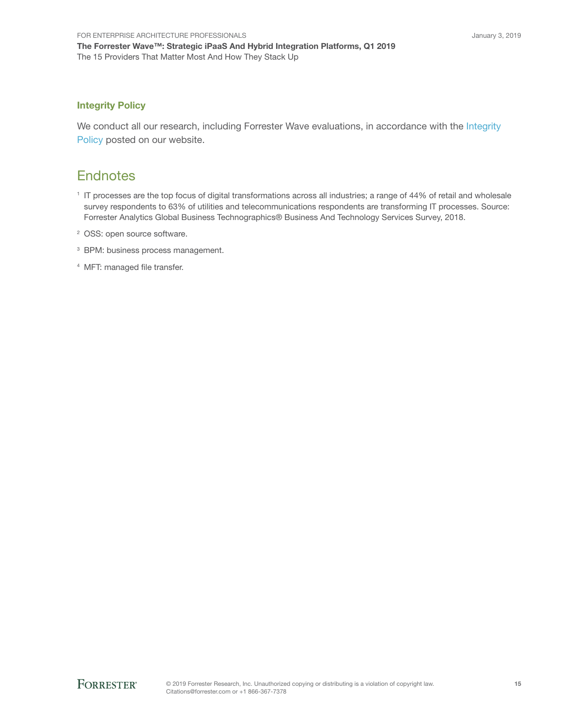### Integrity Policy

We conduct all our research, including Forrester Wave evaluations, in accordance with the Integrity [Policy](http://www.forrester.com/marketing/policies/integrity-policy.html) posted on our website.

## **Endnotes**

- 1 IT processes are the top focus of digital transformations across all industries; a range of 44% of retail and wholesale survey respondents to 63% of utilities and telecommunications respondents are transforming IT processes. Source: Forrester Analytics Global Business Technographics® Business And Technology Services Survey, 2018.
- 2 OSS: open source software.
- <sup>3</sup> BPM: business process management.
- <sup>4</sup> MFT: managed file transfer.